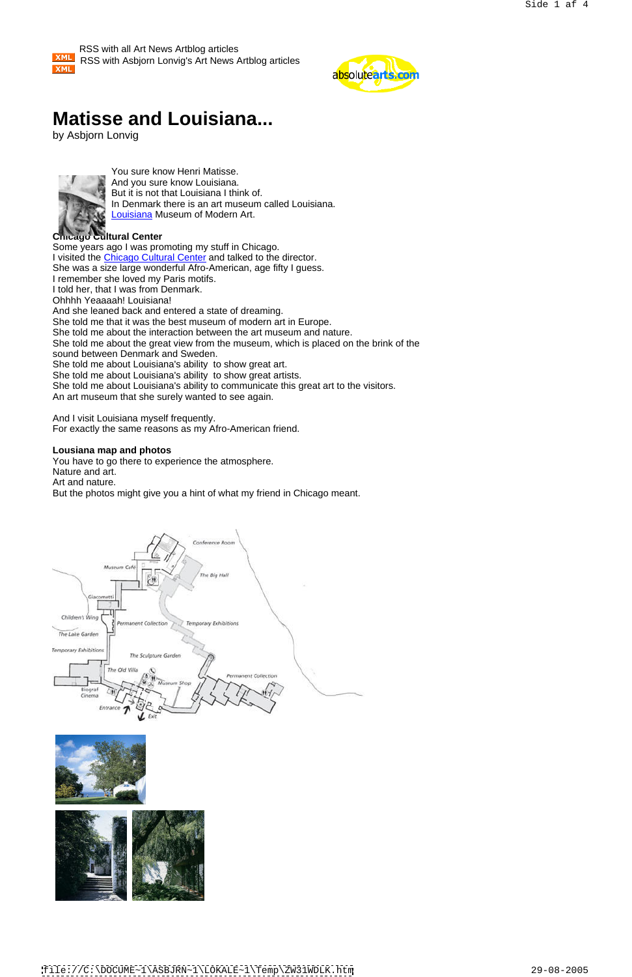## **Matisse and Louisiana...**

by Asbjorn Lonvig



You sure know Henri Matisse. And you sure know Louisiana. But it is not that Louisiana I think of. In Denmark there is an art museum called Louisiana. Louisiana Museum of Modern Art.

## **Chicago Cultural Center**

Some years ago I was promoting my stuff in Chicago. I visited the Chicago Cultural Center and talked to the director. She was a size large wonderful Afro-American, age fifty I guess. I remember she loved my Paris motifs. I told her, that I was from Denmark. Ohhhh Yeaaaah! Louisiana! And she leaned back and entered a state of dreaming. She told me that it was the best museum of modern art in Europe. She told me about the interaction between the art museum and nature. She told me about the great view from the museum, which is placed on the brink of the sound between Denmark and Sweden. She told me about Louisiana's ability to show great art. She told me about Louisiana's ability to show great artists. She told me about Louisiana's ability to communicate this great art to the visitors. An art museum that she surely wanted to see again.

And I visit Louisiana myself frequently. For exactly the same reasons as my Afro-American friend.

### **Lousiana map and photos**

You have to go there to experience the atmosphere. Nature and art. Art and nature.

But the photos might give you a hint of what my friend in Chicago meant.







 RSS with all Art News Artblog articles **XML**  RSS with Asbjorn Lonvig's Art News Artblog articles **XML** 



[file://C:\DOCUME~1\ASBJRN~1\LOKALE~1\Temp\ZW31WDLK.htm](file://C:DOCUME~1ASBJRN~1LOKALE~1TempZW31WDLK.htm) 29-08-2005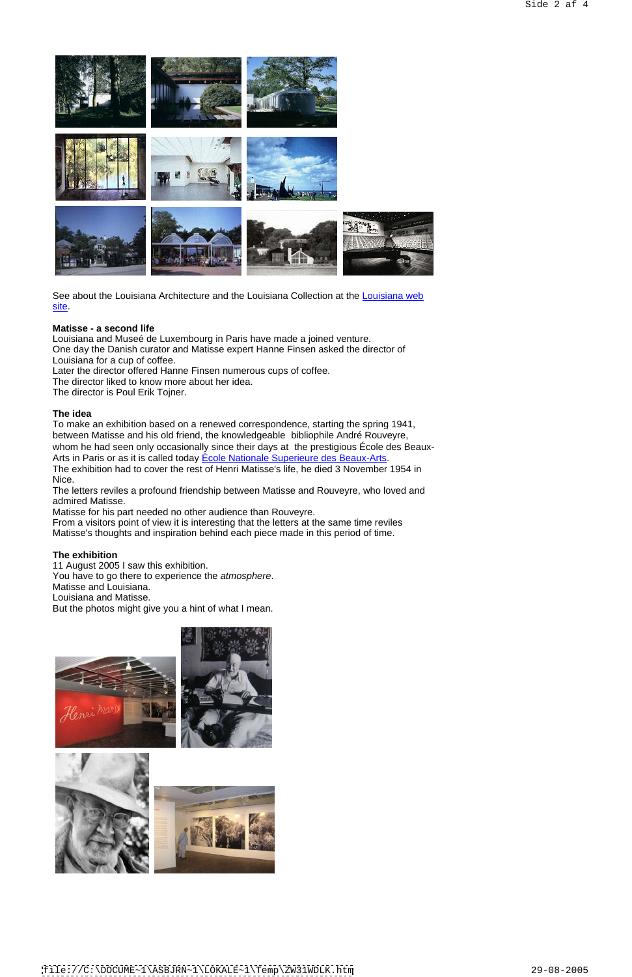**The idea** To make an exhibition based on a renewed correspondence, starting the spring 1941, between Matisse and his old friend, the knowledgeable bibliophile André Rouveyre, whom he had seen only occasionally since their days at the prestigious École des Beaux- Arts in Paris or as it is called today **Ecole Nationale Superieure des Beaux-Arts**.

**Matisse - a second life** Louisiana and Museé de Luxembourg in Paris have made a joined venture. One day the Danish curator and Matisse expert Hanne Finsen asked the director of Louisiana for a cup of coffee. Later the director offered Hanne Finsen numerous cups of coffee.

The director liked to know more about her idea.

The director is Poul Erik Tojner.

The exhibition had to cover the rest of Henri Matisse's life, he died 3 November 1954 in Nice.

The letters reviles a profound friendship between Matisse and Rouveyre, who loved and admired Matisse.

Matisse for his part needed no other audience than Rouveyre.

From a visitors point of view it is interesting that the letters at the same time reviles Matisse's thoughts and inspiration behind each piece made in this period of time.

### **The exhibition**

11 August 2005 I saw this exhibition. You have to go there to experience the atmosphere. Matisse and Louisiana. Louisiana and Matisse.

But the photos might give you a hint of what I mean.







See about the Louisiana Architecture and the Louisiana Collection at the Louisiana web <u>site</u>. The contract of the contract of the contract of the contract of the contract of the contract of the contract of the contract of the contract of the contract of the contract of the contract of the contract of the co

[file://C:\DOCUME~1\ASBJRN~1\LOKALE~1\Temp\ZW31WDLK.htm](file://C:DOCUME~1ASBJRN~1LOKALE~1TempZW31WDLK.htm) 29-08-2005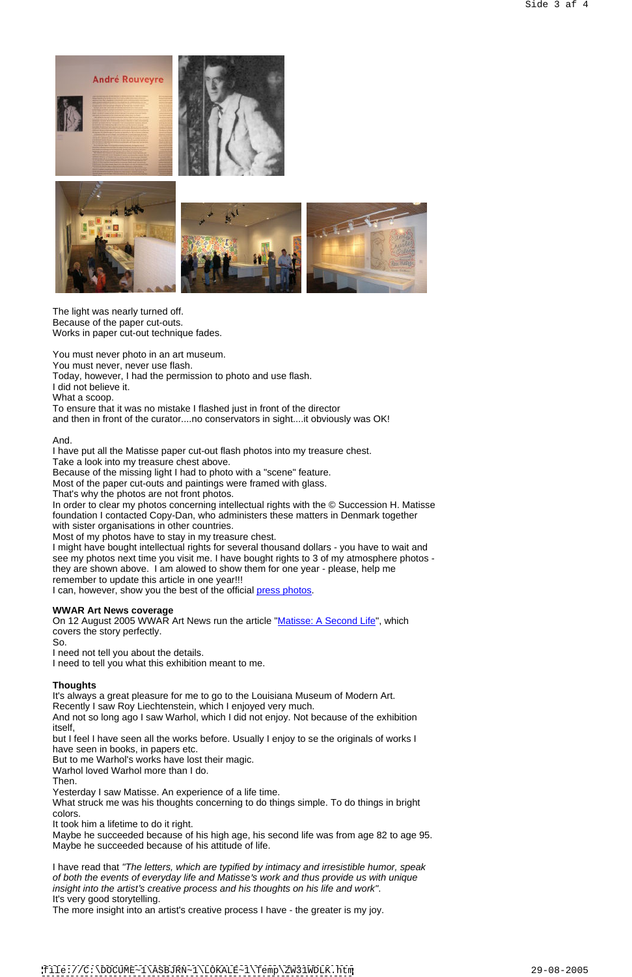The light was nearly turned off. Because of the paper cut-outs. Works in paper cut-out technique fades.

You must never photo in an art museum. You must never, never use flash. Today, however, I had the permission to photo and use flash. I did not believe it. What a scoop.

To ensure that it was no mistake I flashed just in front of the director and then in front of the curator....no conservators in sight....it obviously was OK!

And. I have put all the Matisse paper cut-out flash photos into my treasure chest.

Take a look into my treasure chest above.

Because of the missing light I had to photo with a "scene" feature.

Most of the paper cut-outs and paintings were framed with glass.

That's why the photos are not front photos.

In order to clear my photos concerning intellectual rights with the © Succession H. Matisse foundation I contacted Copy-Dan, who administers these matters in Denmark together with sister organisations in other countries.

Most of my photos have to stay in my treasure chest.

What struck me was his thoughts concerning to do things simple. To do things in bright colors.

I might have bought intellectual rights for several thousand dollars - you have to wait and see my photos next time you visit me. I have bought rights to 3 of my atmosphere photos they are shown above. I am alowed to show them for one year - please, help me remember to update this article in one year!!!

I can, however, show you the best of the official press photos.

### **WWAR Art News coverage**

On 12 August 2005 WWAR Art News run the article "Matisse: A Second Life", which covers the story perfectly. So.

I need not tell you about the details.

I need to tell you what this exhibition meant to me.

### **Thoughts**

It's always a great pleasure for me to go to the Louisiana Museum of Modern Art. Recently I saw Roy Liechtenstein, which I enjoyed very much. And not so long ago I saw Warhol, which I did not enjoy. Not because of the exhibition itself,

but I feel I have seen all the works before. Usually I enjoy to se the originals of works I

have seen in books, in papers etc.

But to me Warhol's works have lost their magic.

Warhol loved Warhol more than I do.

Then.

Yesterday I saw Matisse. An experience of a life time.

It took him a lifetime to do it right.

Maybe he succeeded because of his high age, his second life was from age 82 to age 95. Maybe he succeeded because of his attitude of life.

I have read that "The letters, which are typified by intimacy and irresistible humor, speak of both the events of everyday life and Matisse's work and thus provide us with unique insight into the artist's creative process and his thoughts on his life and work". It's very good storytelling.

The more insight into an artist's creative process I have - the greater is my joy.